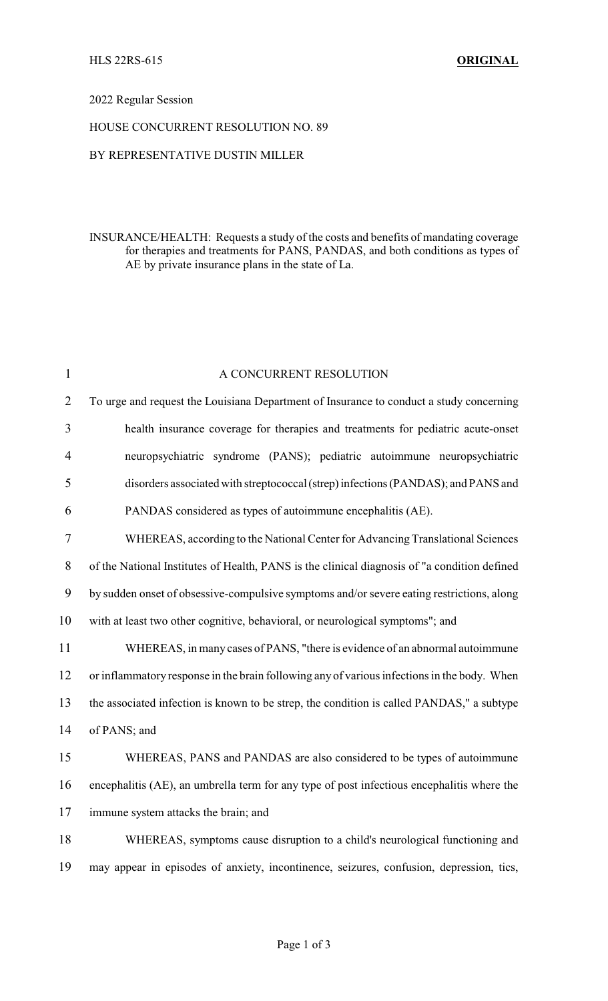### 2022 Regular Session

#### HOUSE CONCURRENT RESOLUTION NO. 89

## BY REPRESENTATIVE DUSTIN MILLER

## INSURANCE/HEALTH: Requests a study of the costs and benefits of mandating coverage for therapies and treatments for PANS, PANDAS, and both conditions as types of AE by private insurance plans in the state of La.

| $\mathbf{1}$   | A CONCURRENT RESOLUTION                                                                      |
|----------------|----------------------------------------------------------------------------------------------|
| $\overline{2}$ | To urge and request the Louisiana Department of Insurance to conduct a study concerning      |
| $\overline{3}$ | health insurance coverage for therapies and treatments for pediatric acute-onset             |
| $\overline{4}$ | neuropsychiatric syndrome (PANS); pediatric autoimmune neuropsychiatric                      |
| 5              | disorders associated with streptococcal (strep) infections (PANDAS); and PANS and            |
| 6              | PANDAS considered as types of autoimmune encephalitis (AE).                                  |
| $\tau$         | WHEREAS, according to the National Center for Advancing Translational Sciences               |
| $8\,$          | of the National Institutes of Health, PANS is the clinical diagnosis of "a condition defined |
| 9              | by sudden onset of obsessive-compulsive symptoms and/or severe eating restrictions, along    |
| 10             | with at least two other cognitive, behavioral, or neurological symptoms"; and                |
| 11             | WHEREAS, in many cases of PANS, "there is evidence of an abnormal autoimmune                 |
| 12             | or inflammatory response in the brain following any of various infections in the body. When  |
| 13             | the associated infection is known to be strep, the condition is called PANDAS," a subtype    |
| 14             | of PANS; and                                                                                 |
| 15             | WHEREAS, PANS and PANDAS are also considered to be types of autoimmune                       |
| 16             | encephalitis (AE), an umbrella term for any type of post infectious encephalitis where the   |
| 17             | immune system attacks the brain; and                                                         |
| 18             | WHEREAS, symptoms cause disruption to a child's neurological functioning and                 |
| 19             | may appear in episodes of anxiety, incontinence, seizures, confusion, depression, tics,      |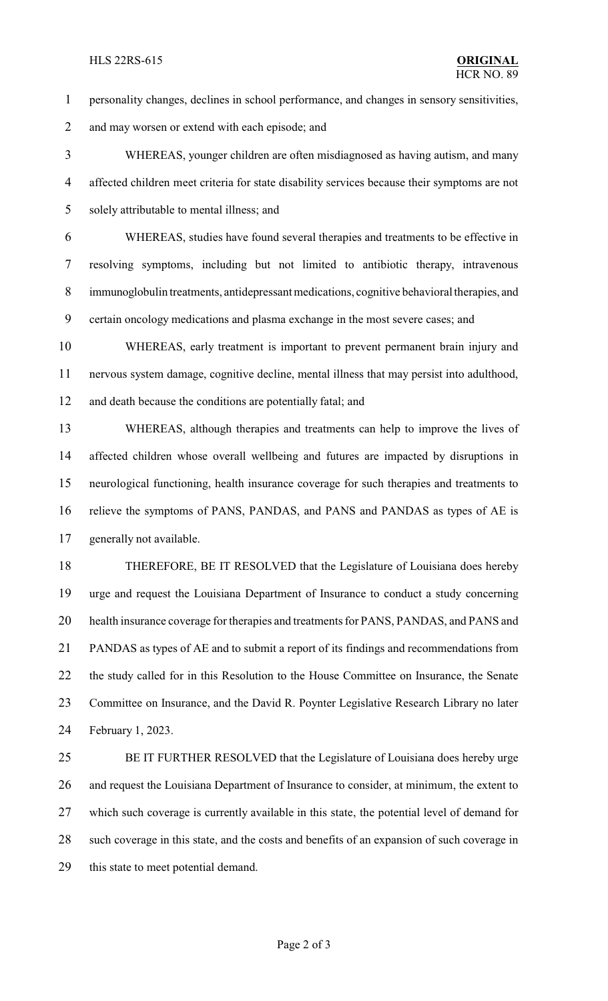#### HLS 22RS-615 **ORIGINAL**

- personality changes, declines in school performance, and changes in sensory sensitivities,
- 2 and may worsen or extend with each episode; and

 WHEREAS, younger children are often misdiagnosed as having autism, and many affected children meet criteria for state disability services because their symptoms are not solely attributable to mental illness; and

 WHEREAS, studies have found several therapies and treatments to be effective in resolving symptoms, including but not limited to antibiotic therapy, intravenous immunoglobulin treatments, antidepressant medications, cognitive behavioral therapies, and certain oncology medications and plasma exchange in the most severe cases; and

 WHEREAS, early treatment is important to prevent permanent brain injury and nervous system damage, cognitive decline, mental illness that may persist into adulthood, and death because the conditions are potentially fatal; and

 WHEREAS, although therapies and treatments can help to improve the lives of affected children whose overall wellbeing and futures are impacted by disruptions in neurological functioning, health insurance coverage for such therapies and treatments to relieve the symptoms of PANS, PANDAS, and PANS and PANDAS as types of AE is generally not available.

 THEREFORE, BE IT RESOLVED that the Legislature of Louisiana does hereby urge and request the Louisiana Department of Insurance to conduct a study concerning health insurance coverage for therapies and treatments for PANS, PANDAS, and PANS and PANDAS as types of AE and to submit a report of its findings and recommendations from the study called for in this Resolution to the House Committee on Insurance, the Senate 23 Committee on Insurance, and the David R. Poynter Legislative Research Library no later February 1, 2023.

 BE IT FURTHER RESOLVED that the Legislature of Louisiana does hereby urge and request the Louisiana Department of Insurance to consider, at minimum, the extent to which such coverage is currently available in this state, the potential level of demand for such coverage in this state, and the costs and benefits of an expansion of such coverage in this state to meet potential demand.